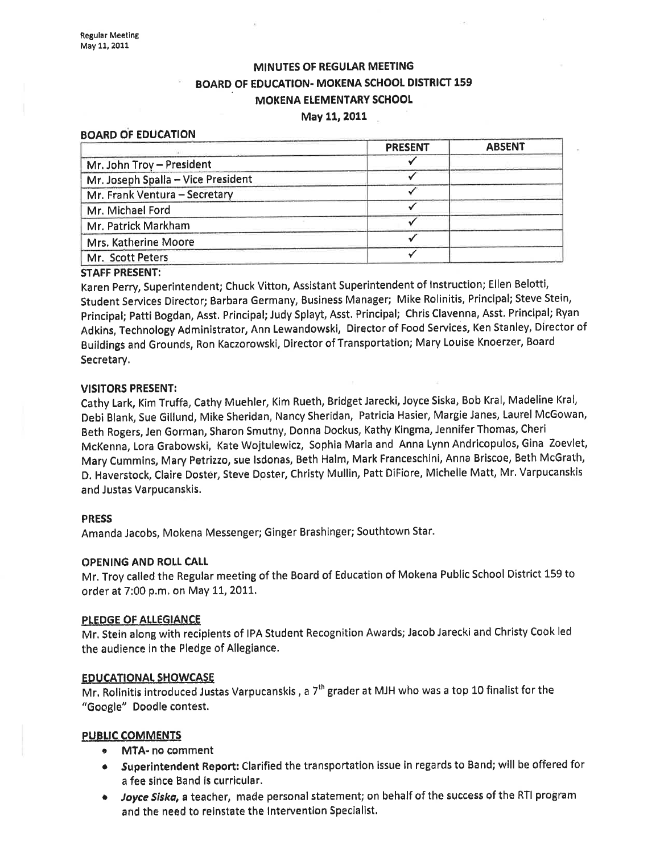# MINUTES OF REGULAR MEETING BOARD OF EDUCATION. MOKENA SCHOOL DISTRICT 159 MOKENA ELEMENTARY SCHOOL

## May 11,2011

#### BOARD OF EDUCATION

#### STAFF PRESENT:

Karen perry, Superintendent; Chuck Vitton, Assistant Superintendent of lnstruction; Ellen Belotti, Student Services Director; Barbara Germany, Business Manager; Mike Rolinitis, Principal; Steve Stein, Principal; Patti Bogdan, Asst. Principal; Judy Splayt, Asst. Principal; Chris Clavenna, Asst. Principal; Ryan Adkins, Technology Administrator, Ann Lewandowski, Director of Food Services, Ken Stanley, Director of Buildings and Grounds, Ron Kaczorowski, Director of Transportation; Mary Louise Knoerzer, Board Secretary.

#### VISITORS PRESENT:

Cathy Lark, Kim Truffa, Cathy Muehler, Kim Rueth, Bridget Jarecki, Joyce Siska, Bob Kral, Madeline Kral, Debi Blank, Sue Gillund, Mike Sheridan, Nancy Sheridan, Patricia Hasier, Margie Janes, Laurel McGowan, Beth Rogers, Jen Gorman, Sharon Smutny, Donna Dockus, Kathy Kingma, JenniferThomas, Cheri McKenna, Lora Grabowski, Kate Wojtulewlcz, Sophia Maria and Anna Lynn Andricopulos, Gina Zoevlet, Mary Cummins, Mary Petrizzo, sue lsdonas, Beth Halm, Mark Franceschini, Anna Briscoe, Beth McGrath, D. Haverstock, Claire Dostêr, Steve Doster, Christy Mullin, Patt DiFiore, Michelle Matt, Mr. Varpucanskis and Justas Varpucanskis.

## PRESS

Amanda Jacobs, Mokena Messenger; Ginger Brashinger; Southtown Star.

## OPENING AND ROLL CALL

<sup>M</sup>r. Troy called the Regular meeting of the Board of Education of Mokena Public School District 159 to order at 7:00 p.m. on MaY LI,2011'

#### PLEDGE OF ALLEGIANCE

Mr. Stein along with recipients of IPA Student Recognition Awards; Jacob Jarecki and Christy Cook led the audience in the Pledge of Alleglance.

#### EDUCATIONAL SHOWCASE

Mr. Rolinitis introduced Justas Varpucanskis, a  $7<sup>th</sup>$  grader at MJH who was a top 10 finalist for the "6oogle" Þoodle contest.

## PUBLIC COMMENTS

- MTA- no comment
- o Superintendent Report: Clarified the transportation issue in regards to Band; will be offered for a fee since Band is curricular.
- Joyce Siska, a teacher, made personal statement; on behalf of the success of the RTI program and the need to reinstate the Intervention Specialist.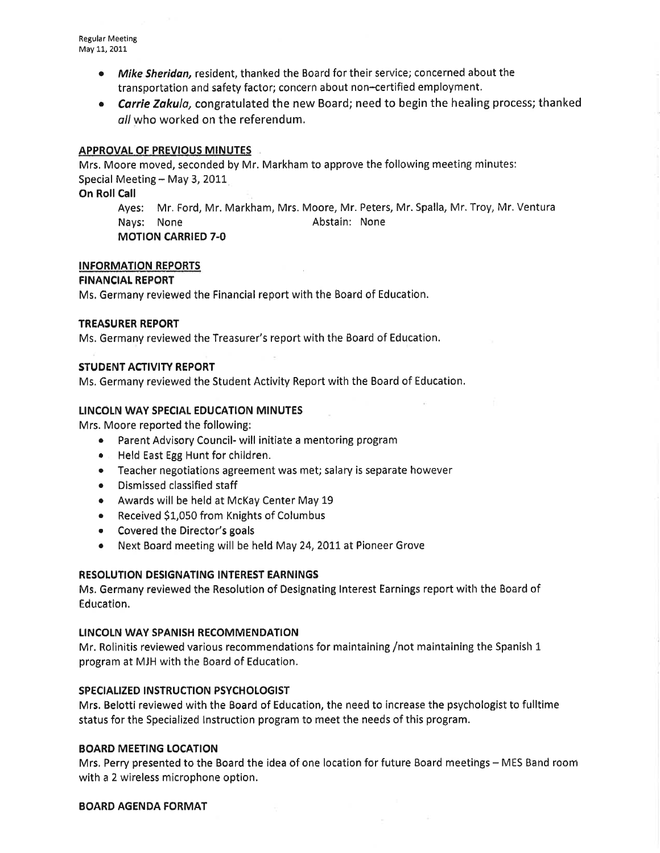- Mike Sheridan, resident, thanked the Board for their service; concerned about the transportation and safety factor; concern about non-certified employment.
- Carrie Zakula, congratulated the new Board; need to begin the healing process; thanked all who worked on the referendum.

## APPROVAL OF PREVIOUS MINUTES

Mrs. Moore moved, seconded by Mr. Markham to approve the following meeting minutes: Special Meeting  $-$  May 3, 2011

## On Roll Call

Ayes: Mr. Ford, Mr. Markham, Mrs. Moore, Mr. Peters, Mr. Spalla, Mr. Troy, Mr. Ventura Näys: None **Abstain:** None MOTION CARRIED 7-O

## INFORMATION REPORTS

## FINANCIAT REPORT

Ms. Germany reviewed the Financial report with the Board of Education.

## TREASURER REPORT

Ms. Germany reviewed the Treasurer's report with the Board of Education.

## STUDENT ACTIVITY REPORT

Ms, Germany reviewed the Student Activity Report with the Board of Éducation.

## LINCOLN WAY SPECIAL EDUCATION MINUTES

Mrs. Moore reported the following:

- Parent Advisory Council- will initiate a mentoring program
- e Held East Egg Hunt for children.
- Teacher negotiations agreement was met; salary is separate however
- Dismissed classified staff
- o Awards will be held at McKay Center May <sup>19</sup>
- Received \$1,050 from Knights of Columbus
- ¡ Covered the Director's goals
- Next Board meeting will be held May 24, 2011 at Pioneer Grove

## RESOLUTION DESIGNATING INTEREST EARNINGS

Ms, Germany reviewed the Resolution of Designating lnterest Éarnings report with the Board of Education.

## LINCOLN WAY SPANISH RECOMMENDATION

Mr. Rolinitis reviewed various recommendations for maintaining /not maintaining the Spanish 1 program at MJH with the Board of Education.

## SPECIAIIZED INSTRUCTION PSYCHOLOGIST

Mrs. Belotti reviewed with the Board of Education, the need to increase the psychologist to fulltime status for the Specialized lnstruction program to méet the needs of this program.

## **BOARD MEETING LOCATION**

Mrs. Perry presented to the Board the idea of one location for future Board meetings - MES Band room with a 2 wireless microphone option.

## BOARD AGENDA FORMAT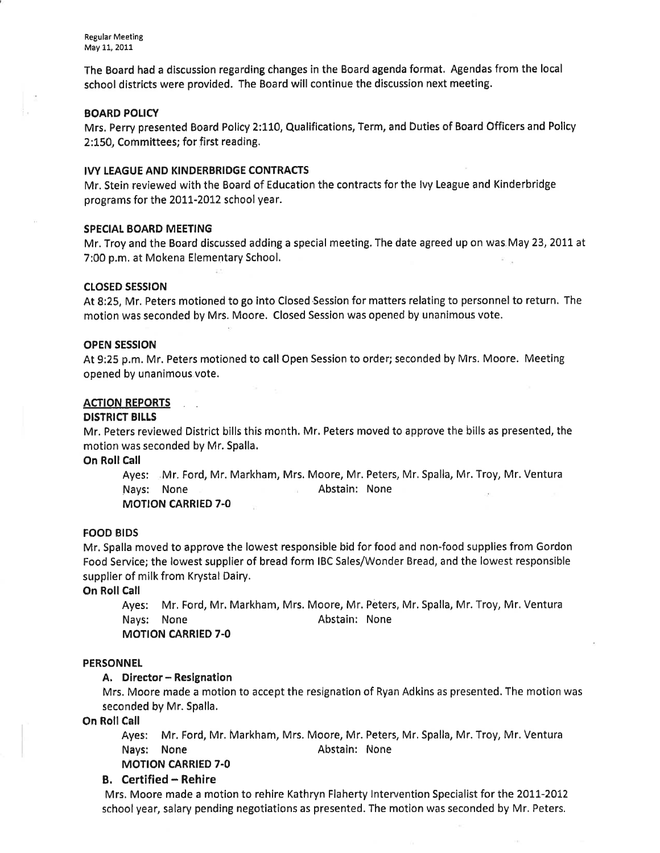The Board had a discussion regarding changes in the Board agenda format. Agendas from the local school districts were provided. The Board will continue the discussion next meeting.

## **BOARD POLICY**

Mrs. Perry presented Board Policy 2:110, Qualifications, Term, and Dutiès of Board Officers and Policy 2:150, Committees; for first reading.

#### IVY LEAGUE AND KINDERBRIDGE CONTRACTS

Mr. Stein reviewed with the Board of Education the contracts for the lvy League and Kinderbridge programs for the 2011-2012 school year.

### SPECIAL BOARD MEETING

Mr. Troy and the Board discussed adding a special meeting. The date agreed up on was May 23, 2011 at 7:00 p.m. at Mokena Elementary School.

#### cLosED sEssroN

At 8:25, Mr. Peters motioned to go into Closed'Session for matters relating to personnel to return. The motion was seconded by Mrs. Moore. Closed Session was opened by unanimous vote.

#### OPEN SESSION

At 9:25 p.m. Mr. Peters motioned to call Open Session to order; seconded by Mrs. Moore. Meeting opened by unanimous vote.

#### ACTION REPORTS

## DISTRICT BILLS

Mr. Peters reviewed District bills this month. Mr. Peters moved to approve the bills as presented, the motion was seconded by Mr. Spalla.

On Roll Call

Ayes: Mr. Ford, Mr. Markham, Mrs. Moore, Mr. Peters, Mr. Spalla, Mr. Troy, Mr. Ventura Nays: None Abstain: None MOTION CARRIED 7.0

## FOOD BIDS

Mr. Spalla moved to approve the lowest responsible bid for food and non-food supplies from Gordon Food Service; the lowest supplier of bread form IBC Sales/Wonder Bread, and the lowest responsible supplier of milk from Krystal Dairy.

On Roll Call

Ayes: Mr. Ford, Mr. Markham, Mrs. Moore, Mr. Peters, Mr. Spalla, Mr. Troy, Mr. Ventura Nays: None **Ahstain:** None

MOTION CARRIED 7.0

### **PERSONNEL**

## A. Director - Resignation

Mrs. Moore made a motion to accept the resignation of Ryan Adkins as presented. The motion was seconded by Mr. Spalla.

On Roll Call

Ayes: Mr. Ford, Mr. Markham, Mrs. Moore, Mr. Peters, Mr. Spalla, Mr. Troy, Mr. Ventura Nays: None Abstain: None

MOTION CARRIED 7.0

## B. Certified - Rehire

Mrs, Moore made a motion to rehire Kathryn Flaherty lnteruention Specialist for the 2OtI-2012 school year, salary pending negotiations as presented. The motion was seconded by Mr. Peters.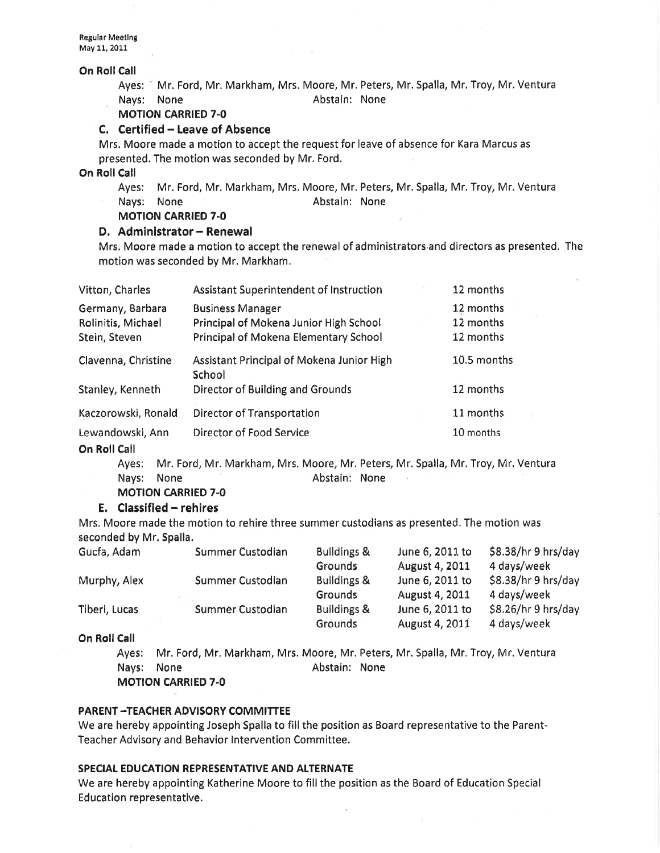Regular Meeting May 11, 2011

#### On Roll Call

Ayes: Nr. Ford, Mr. Markham, Mrs. Moore, Mr. Peters, Mr. Spalla, Mr. Troy, Mr. Ventura Nays: None **Abstain:** None

## MOTION CARRIED 7-O

## C. Certified - Leave of Absence

Mrs. Moore made a motion to accept the request for leave of absence for Kara Marcus as presented. The motion was seconded by Mr. Ford.

On Roll Call

- Ayes: Mr. Ford, Mr. Markham, Mrs. Moore, Mr. Peters, Mr. Spalla, Mr. Troy, Mr. Ventura
- Nays: None **Abstain:** None
- MOTION CARRIED 7.0

## D. Administrator - Renewal

Mrs, Moore made a motion to accept the renewal of administrators and directors as presented, The motion was seconded by Mr. Markham.

| Vitton, Charles                                         | <b>Assistant Superintendent of Instruction</b>                                                             | 12 months                           |
|---------------------------------------------------------|------------------------------------------------------------------------------------------------------------|-------------------------------------|
| Germany, Barbara<br>Rolinitis, Michael<br>Stein, Steven | <b>Business Manager</b><br>Principal of Mokena Junior High School<br>Principal of Mokena Elementary School | 12 months<br>12 months<br>12 months |
| Clavenna, Christine                                     | Assistant Principal of Mokena Junior High<br>School                                                        | 10.5 months                         |
| Stanley, Kenneth                                        | Director of Building and Grounds                                                                           | 12 months                           |
| Kaczorowski, Ronald                                     | <b>Director of Transportation</b>                                                                          | 11 months                           |
| Lewandowski, Ann                                        | Director of Food Service                                                                                   | 10 months                           |

## On Roll Call

Ayes: Mr. Ford, Mr. Markham, Mrs. Moore, Mr. Peters, Mr. Spalla, Mr. Troy, Mr. Ventura Nays: None **Abstain:** None

MOTION CARRIED 7-O

## $E.$  Classified - rehires

Mrs. Moore made the motion to rehire three summer custodians as presented. The motion was seconded by Mr. Spalla.

| Gucfa, Adam   | Summer Custodian | <b>Buildings &amp;</b> | June 6, 2011 to | \$8.38/hr 9 hrs/day |
|---------------|------------------|------------------------|-----------------|---------------------|
|               |                  | <b>Grounds</b>         | August 4, 2011  | 4 days/week         |
| Murphy, Alex  | Summer Custodian | Buildings &            | June 6, 2011 to | \$8.38/hr9 hrs/day  |
|               |                  | <b>Grounds</b>         | August 4, 2011  | 4 days/week         |
| Tiberi, Lucas | Summer Custodian | <b>Buildings &amp;</b> | June 6, 2011 to | \$8.26/hr9 hrs/day  |
|               |                  | Grounds                | August 4, 2011  | 4 days/week         |

On Roll Call

Ayes: Mr. Ford, Mr, Markham, Mrs. Moore, Mr. Peters, Mr. Spalla, Mr. Troy, Mr, Ventura Nays: None **Abstain:** None MOTION CARRIED 7-O

## PARENT -TEACHER ADVISORY COMMITTEE

We are hereby appointing Joseph Spalla to fill the position as Board representative to the Parent-Teacher Advisory and Behavior lnterventíon Committee.

## SPECIAL EDUCATION REPRESENTATIVE AND ALTERNATE

We are hereby appointing Katherine Moore to fill the position as the Board of Education Special Education representative.